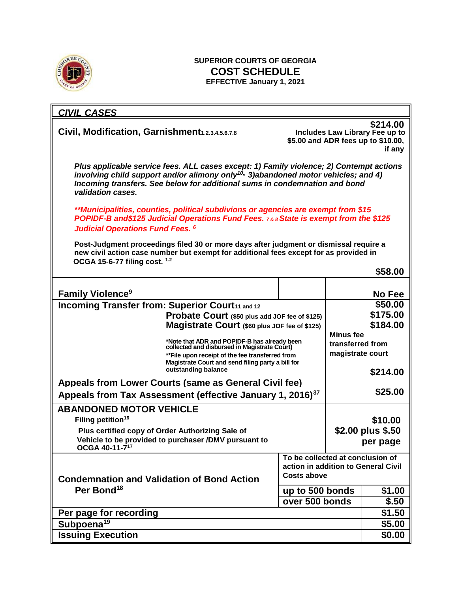

## **SUPERIOR COURTS OF GEORGIA COST SCHEDULE EFFECTIVE January 1, 2021**

| <b>CIVIL CASES</b>                                                                                                                                                                                                                                                                           |                                  |  |                                                                                            |
|----------------------------------------------------------------------------------------------------------------------------------------------------------------------------------------------------------------------------------------------------------------------------------------------|----------------------------------|--|--------------------------------------------------------------------------------------------|
| Civil, Modification, Garnishment1.2.3.4.5.6.7.8                                                                                                                                                                                                                                              |                                  |  | \$214.00<br>Includes Law Library Fee up to<br>\$5.00 and ADR fees up to \$10.00,<br>if any |
| Plus applicable service fees. ALL cases except: 1) Family violence; 2) Contempt actions<br>involving child support and/or alimony only <sup>10,,</sup> 3)abandoned motor vehicles; and 4)<br>Incoming transfers. See below for additional sums in condemnation and bond<br>validation cases. |                                  |  |                                                                                            |
| **Municipalities, counties, political subdivions or agencies are exempt from \$15<br><b>POPIDF-B and\$125 Judicial Operations Fund Fees. 7&amp; 8 State is exempt from the \$125</b>                                                                                                         |                                  |  |                                                                                            |
| <b>Judicial Operations Fund Fees. 6</b>                                                                                                                                                                                                                                                      |                                  |  |                                                                                            |
| Post-Judgment proceedings filed 30 or more days after judgment or dismissal require a<br>new civil action case number but exempt for additional fees except for as provided in<br>OCGA 15-6-77 filing cost. 1.2                                                                              |                                  |  |                                                                                            |
|                                                                                                                                                                                                                                                                                              |                                  |  | \$58.00                                                                                    |
|                                                                                                                                                                                                                                                                                              |                                  |  |                                                                                            |
| <b>Family Violence<sup>9</sup></b>                                                                                                                                                                                                                                                           |                                  |  | <b>No Fee</b>                                                                              |
| Incoming Transfer from: Superior Court11 and 12                                                                                                                                                                                                                                              |                                  |  | \$50.00                                                                                    |
| Probate Court (\$50 plus add JOF fee of \$125)                                                                                                                                                                                                                                               |                                  |  | \$175.00                                                                                   |
| Magistrate Court (\$60 plus JOF fee of \$125)                                                                                                                                                                                                                                                |                                  |  | \$184.00                                                                                   |
| <b>Minus fee</b><br>*Note that ADR and POPIDF-B has already been<br>collected and disbursed in Magistrate Court)<br>transferred from                                                                                                                                                         |                                  |  |                                                                                            |
| magistrate court<br>** File upon receipt of the fee transferred from<br>Magistrate Court and send filing party a bill for                                                                                                                                                                    |                                  |  |                                                                                            |
| outstanding balance                                                                                                                                                                                                                                                                          |                                  |  | \$214.00                                                                                   |
| Appeals from Lower Courts (same as General Civil fee)                                                                                                                                                                                                                                        |                                  |  |                                                                                            |
| Appeals from Tax Assessment (effective January 1, 2016) <sup>37</sup>                                                                                                                                                                                                                        |                                  |  | \$25.00                                                                                    |
| <b>ABANDONED MOTOR VEHICLE</b>                                                                                                                                                                                                                                                               |                                  |  |                                                                                            |
| Filing petition <sup>16</sup>                                                                                                                                                                                                                                                                |                                  |  | \$10.00                                                                                    |
| Plus certified copy of Order Authorizing Sale of                                                                                                                                                                                                                                             |                                  |  | \$2.00 plus \$.50                                                                          |
| Vehicle to be provided to purchaser /DMV pursuant to<br>OCGA 40-11-717                                                                                                                                                                                                                       |                                  |  | per page                                                                                   |
|                                                                                                                                                                                                                                                                                              | To be collected at conclusion of |  |                                                                                            |
| action in addition to General Civil<br><b>Costs above</b><br><b>Condemnation and Validation of Bond Action</b>                                                                                                                                                                               |                                  |  |                                                                                            |
| Per Bond <sup>18</sup>                                                                                                                                                                                                                                                                       | up to 500 bonds                  |  | \$1.00                                                                                     |
|                                                                                                                                                                                                                                                                                              | over 500 bonds                   |  | \$.50                                                                                      |
| Per page for recording                                                                                                                                                                                                                                                                       |                                  |  | \$1.50                                                                                     |
| Subpoena <sup>19</sup>                                                                                                                                                                                                                                                                       |                                  |  | \$5.00                                                                                     |
| <b>Issuing Execution</b>                                                                                                                                                                                                                                                                     |                                  |  | \$0.00                                                                                     |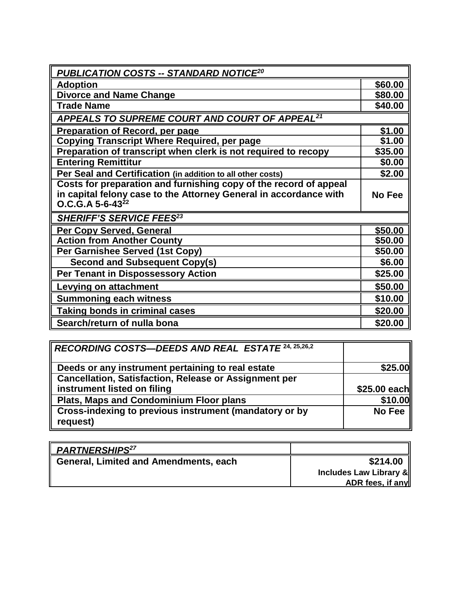| <u> PUBLICATION COSTS -- STANDARD NOTICE<math>^{20}</math></u>    |               |
|-------------------------------------------------------------------|---------------|
| <b>Adoption</b>                                                   | \$60.00       |
| <b>Divorce and Name Change</b>                                    | \$80.00       |
| <b>Trade Name</b>                                                 | \$40.00       |
| APPEALS TO SUPREME COURT AND COURT OF APPEAL <sup>21</sup>        |               |
| Preparation of Record, per page                                   | \$1.00        |
| <b>Copying Transcript Where Required, per page</b>                | \$1.00        |
| Preparation of transcript when clerk is not required to recopy    | \$35.00       |
| <b>Entering Remittitur</b>                                        | \$0.00        |
| Per Seal and Certification (in addition to all other costs)       | \$2.00        |
| Costs for preparation and furnishing copy of the record of appeal |               |
| in capital felony case to the Attorney General in accordance with | <b>No Fee</b> |
| $O.C.G.A 5-6-4322$                                                |               |
| <b>SHERIFF'S SERVICE FEES<sup>23</sup></b>                        |               |
| Per Copy Served, General                                          | \$50.00       |
| <b>Action from Another County</b>                                 | \$50.00       |
| Per Garnishee Served (1st Copy)                                   | \$50.00       |
| <b>Second and Subsequent Copy(s)</b>                              | \$6.00        |
| <b>Per Tenant in Dispossessory Action</b>                         | \$25.00       |
| <b>Levying on attachment</b>                                      | \$50.00       |
| <b>Summoning each witness</b>                                     | \$10.00       |
| <b>Taking bonds in criminal cases</b>                             | \$20.00       |
| Search/return of nulla bona                                       | \$20.00       |

| RECORDING COSTS—DEEDS AND REAL ESTATE 24, 25,26,2                  |               |
|--------------------------------------------------------------------|---------------|
| Deeds or any instrument pertaining to real estate                  | \$25.00       |
| <b>Cancellation, Satisfaction, Release or Assignment per</b>       |               |
| instrument listed on filing                                        | \$25.00 each  |
| Plats, Maps and Condominium Floor plans                            | \$10.00       |
| Cross-indexing to previous instrument (mandatory or by<br>request) | <b>No Fee</b> |

| <b>PARTNERSHIPS<sup>27</sup></b>             |                        |
|----------------------------------------------|------------------------|
| <b>General, Limited and Amendments, each</b> | \$214.00               |
|                                              | Includes Law Library & |
|                                              | ADR fees, if any       |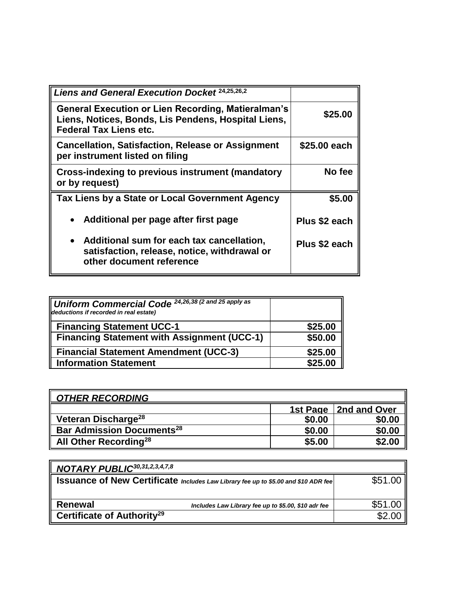| <b>Liens and General Execution Docket 24,25,26,2</b>                                                                                              |               |
|---------------------------------------------------------------------------------------------------------------------------------------------------|---------------|
| <b>General Execution or Lien Recording, Matieralman's</b><br>Liens, Notices, Bonds, Lis Pendens, Hospital Liens,<br><b>Federal Tax Liens etc.</b> | \$25.00       |
| <b>Cancellation, Satisfaction, Release or Assignment</b><br>per instrument listed on filing                                                       | \$25.00 each  |
| <b>Cross-indexing to previous instrument (mandatory</b><br>or by request)                                                                         | No fee        |
| Tax Liens by a State or Local Government Agency                                                                                                   | \$5.00        |
| Additional per page after first page                                                                                                              | Plus \$2 each |
| • Additional sum for each tax cancellation,<br>satisfaction, release, notice, withdrawal or<br>other document reference                           | Plus \$2 each |

| Uniform Commercial Code 24,26,38 (2 and 25 apply as<br>deductions if recorded in real estate) |         |
|-----------------------------------------------------------------------------------------------|---------|
| <b>Financing Statement UCC-1</b>                                                              | \$25.00 |
| II<br><b>Financing Statement with Assignment (UCC-1)</b>                                      | \$50.00 |
| <b>Financial Statement Amendment (UCC-3)</b>                                                  | \$25.00 |
| <b>Information Statement</b>                                                                  | \$25.00 |

| <b>OTHER RECORDING</b>                       |        |                         |
|----------------------------------------------|--------|-------------------------|
|                                              |        | 1st Page   2nd and Over |
| Veteran Discharge <sup>28</sup>              | \$0.00 | \$0.00                  |
| <b>Bar Admission Documents</b> <sup>28</sup> | \$0.00 | \$0.00                  |
| All Other Recording <sup>28</sup>            | \$5.00 | \$2.00                  |

| NOTARY PUBLIC <sup>30,31,2,3,4,7,8</sup>                                                  |                                                     |         |
|-------------------------------------------------------------------------------------------|-----------------------------------------------------|---------|
| <b>ISSUANCE Of New Certificate</b> Includes Law Library fee up to \$5.00 and \$10 ADR fee |                                                     | \$51.00 |
|                                                                                           |                                                     |         |
| Renewal                                                                                   | Includes Law Library fee up to \$5.00, \$10 adr fee | \$51.00 |
| Certificate of Authority <sup>29</sup>                                                    |                                                     | \$2.00  |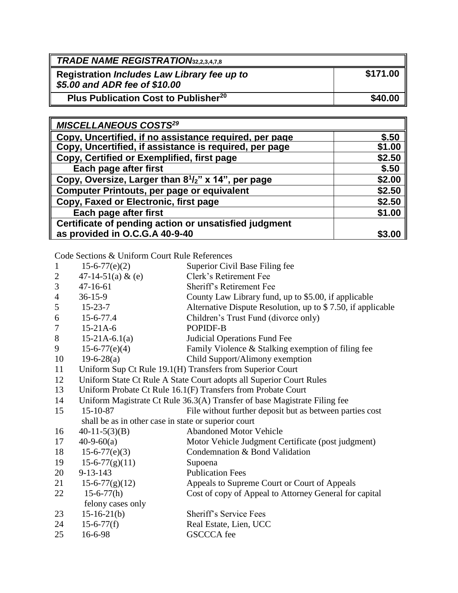| <b>TRADE NAME REGISTRATION32,2,3,4,7,8</b>                                   |          |
|------------------------------------------------------------------------------|----------|
| Registration Includes Law Library fee up to<br>\$5.00 and ADR fee of \$10.00 | \$171.00 |
| Plus Publication Cost to Publisher <sup>20</sup>                             | \$40.00  |

| <b>MISCELLANEOUS COSTS<sup>29</sup></b>                                     |        |
|-----------------------------------------------------------------------------|--------|
| Copy, Uncertified, if no assistance required, per page                      | \$.50  |
| Copy, Uncertified, if assistance is required, per page                      | \$1.00 |
| Copy, Certified or Exemplified, first page                                  | \$2.50 |
| Each page after first                                                       | \$.50  |
| Copy, Oversize, Larger than 8 <sup>1</sup> / <sub>2</sub> " x 14", per page | \$2.00 |
| Computer Printouts, per page or equivalent                                  | \$2.50 |
| Copy, Faxed or Electronic, first page                                       | \$2.50 |
| Each page after first                                                       | \$1.00 |
| Certificate of pending action or unsatisfied judgment                       |        |
| as provided in O.C.G.A 40-9-40                                              | \$3.00 |

Code Sections & Uniform Court Rule References

| $15-6-77(e)(2)$      | Superior Civil Base Filing fee                                            |
|----------------------|---------------------------------------------------------------------------|
| $17.11.51(2)$ 0. (2) | $Cl_{\alpha\mu}$ $\rightarrow$ $R_{\alpha}$ $\rightarrow$ $R_{\alpha\mu}$ |

- 2  $47-14-51(a) \& (e)$  Clerk's Retirement Fee 3 47-16-61 Sheriff's Retirement Fee
- 
- 4 36-15-9 County Law Library fund, up to \$5.00, if applicable
- 5 15-23-7 Alternative Dispute Resolution, up to \$ 7.50, if applicable
- 6 15-6-77.4 Children's Trust Fund (divorce only)
- 7 15-21A-6 POPIDF-B
- 8 15-21A-6.1(a) Judicial Operations Fund Fee
- 9 15-6-77(e)(4) Family Violence & Stalking exemption of filing fee
- 10 19-6-28(a) Child Support/Alimony exemption
- 11 Uniform Sup Ct Rule 19.1(H) Transfers from Superior Court
- 12 Uniform State Ct Rule A State Court adopts all Superior Court Rules
- 13 Uniform Probate Ct Rule 16.1(F) Transfers from Probate Court
- 14 Uniform Magistrate Ct Rule 36.3(A) Transfer of base Magistrate Filing fee<br>15 15 10.87

| 15            | 15-10-87           | File without further deposit but as between parties cost     |
|---------------|--------------------|--------------------------------------------------------------|
|               |                    | shall be as in other case in state or superior court         |
| 16            | $40-11-5(3)(B)$    | <b>Abandoned Motor Vehicle</b>                               |
| 17            | $40-9-60(a)$       | Motor Vehicle Judgment Certificate (post judgment)           |
| 18            | $15-6-77(e)(3)$    | Condemnation & Bond Validation                               |
| 19            | $15-6-77(g)(11)$   | Supoena                                                      |
| 20            | $9 - 13 - 143$     | <b>Publication Fees</b>                                      |
| 21            | $15-6-77(g)(12)$   | Appeals to Supreme Court or Court of Appeals                 |
| 22            | $15-6-77(h)$       | Cost of copy of Appeal to Attorney General for capital       |
|               | felony cases only  |                                                              |
| 23            | $15-16-21(b)$      | Sheriff's Service Fees                                       |
| $\mathcal{D}$ | 15 6 77 <i>(f)</i> | $\mathbf{D}_{\mathbf{Q}}$ Estate Lien $\mathbf{H}\mathbf{C}$ |

- $24$  15-6-77(t) Real Estate, Lien, UCC
- 25 16-6-98 GSCCCA fee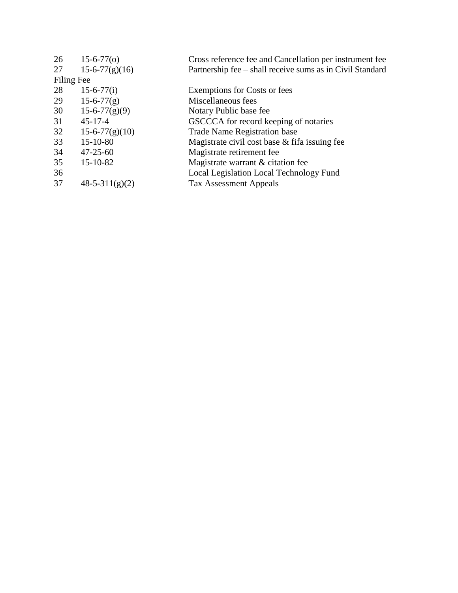| 26 | $15-6-77(0)$     | Cross reference fee and Cancellation per instrument fee   |
|----|------------------|-----------------------------------------------------------|
| 27 | $15-6-77(g)(16)$ | Partnership fee – shall receive sums as in Civil Standard |
|    | Filing Fee       |                                                           |
| 28 | $15-6-77(i)$     | <b>Exemptions for Costs or fees</b>                       |
| 29 | $15-6-77(g)$     | Miscellaneous fees                                        |
| 30 | $15-6-77(g)(9)$  | Notary Public base fee                                    |
| 31 | $45 - 17 - 4$    | GSCCCA for record keeping of notaries                     |
| 32 | $15-6-77(g)(10)$ | <b>Trade Name Registration base</b>                       |
| 33 | $15 - 10 - 80$   | Magistrate civil cost base & fifa issuing fee             |
| 34 | $47 - 25 - 60$   | Magistrate retirement fee                                 |
| 35 | $15 - 10 - 82$   | Magistrate warrant & citation fee                         |
| 36 |                  | Local Legislation Local Technology Fund                   |
| 37 | $48-5-311(g)(2)$ | <b>Tax Assessment Appeals</b>                             |
|    |                  |                                                           |